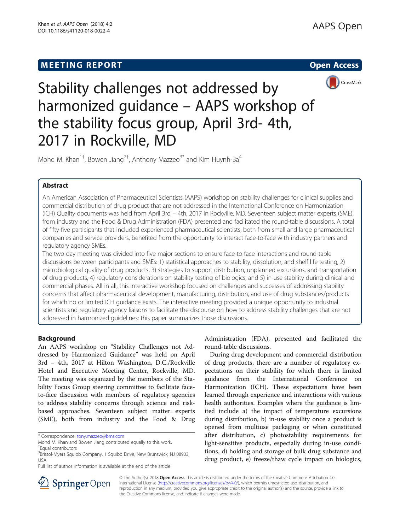



Stability challenges not addressed by harmonized guidance – AAPS workshop of the stability focus group, April 3rd- 4th, 2017 in Rockville, MD

Mohd M. Khan<sup>1†</sup>, Bowen Jiang<sup>2†</sup>, Anthony Mazzeo<sup>3\*</sup> and Kim Huynh-Ba<sup>4</sup>

# Abstract

An American Association of Pharmaceutical Scientists (AAPS) workshop on stability challenges for clinical supplies and commercial distribution of drug product that are not addressed in the International Conference on Harmonization (ICH) Quality documents was held from April 3rd – 4th, 2017 in Rockville, MD. Seventeen subject matter experts (SME), from industry and the Food & Drug Administration (FDA) presented and facilitated the round-table discussions. A total of fifty-five participants that included experienced pharmaceutical scientists, both from small and large pharmaceutical companies and service providers, benefited from the opportunity to interact face-to-face with industry partners and regulatory agency SMEs.

The two-day meeting was divided into five major sections to ensure face-to-face interactions and round-table discussions between participants and SMEs: 1) statistical approaches to stability, dissolution, and shelf life testing, 2) microbiological quality of drug products, 3) strategies to support distribution, unplanned excursions, and transportation of drug products, 4) regulatory considerations on stability testing of biologics, and 5) in-use stability during clinical and commercial phases. All in all, this interactive workshop focused on challenges and successes of addressing stability concerns that affect pharmaceutical development, manufacturing, distribution, and use of drug substances/products for which no or limited ICH guidance exists. The interactive meeting provided a unique opportunity to industrial scientists and regulatory agency liaisons to facilitate the discourse on how to address stability challenges that are not addressed in harmonized guidelines: this paper summarizes those discussions.

# Background

An AAPS workshop on "Stability Challenges not Addressed by Harmonized Guidance" was held on April 3rd – 4th, 2017 at Hilton Washington, D.C./Rockville Hotel and Executive Meeting Center, Rockville, MD. The meeting was organized by the members of the Stability Focus Group steering committee to facilitate faceto-face discussion with members of regulatory agencies to address stability concerns through science and riskbased approaches. Seventeen subject matter experts (SME), both from industry and the Food & Drug

Administration (FDA), presented and facilitated the round-table discussions.

During drug development and commercial distribution of drug products, there are a number of regulatory expectations on their stability for which there is limited guidance from the International Conference on Harmonization (ICH). These expectations have been learned through experience and interactions with various health authorities. Examples where the guidance is limited include a) the impact of temperature excursions during distribution, b) in-use stability once a product is opened from multiuse packaging or when constituted after distribution, c) photostability requirements for light-sensitive products, especially during in-use conditions, d) holding and storage of bulk drug substance and drug product, e) freeze/thaw cycle impact on biologics,



© The Author(s). 2018 Open Access This article is distributed under the terms of the Creative Commons Attribution 4.0 International License ([http://creativecommons.org/licenses/by/4.0/\)](http://creativecommons.org/licenses/by/4.0/), which permits unrestricted use, distribution, and reproduction in any medium, provided you give appropriate credit to the original author(s) and the source, provide a link to the Creative Commons license, and indicate if changes were made.

<sup>\*</sup> Correspondence: [tony.mazzeo@bms.com](mailto:tony.mazzeo@bms.com)

Mohd M. Khan and Bowen Jiang contributed equally to this work. † Equal contributors

<sup>&</sup>lt;sup>3</sup> Bristol-Myers Squibb Company, 1 Squibb Drive, New Brunswick, NJ 08903, USA

Full list of author information is available at the end of the article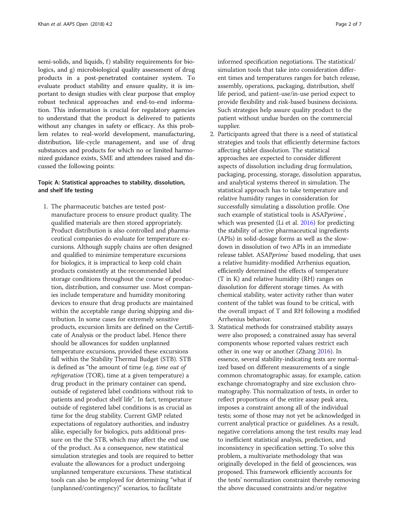semi-solids, and liquids, f) stability requirements for biologics, and g) microbiological quality assessment of drug products in a post-penetrated container system. To evaluate product stability and ensure quality, it is important to design studies with clear purpose that employ robust technical approaches and end-to-end information. This information is crucial for regulatory agencies to understand that the product is delivered to patients without any changes in safety or efficacy. As this problem relates to real-world development, manufacturing, distribution, life-cycle management, and use of drug substances and products for which no or limited harmonized guidance exists, SME and attendees raised and discussed the following points:

## Topic A: Statistical approaches to stability, dissolution, and shelf life testing

1. The pharmaceutic batches are tested postmanufacture process to ensure product quality. The qualified materials are then stored appropriately. Product distribution is also controlled and pharmaceutical companies do evaluate for temperature excursions. Although supply chains are often designed and qualified to minimize temperature excursions for biologics, it is impractical to keep cold chain products consistently at the recommended label storage conditions throughout the course of production, distribution, and consumer use. Most companies include temperature and humidity monitoring devices to ensure that drug products are maintained within the acceptable range during shipping and distribution. In some cases for extremely sensitive products, excursion limits are defined on the Certificate of Analysis or the product label. Hence there should be allowances for sudden unplanned temperature excursions, provided these excursions fall within the Stability Thermal Budget (STB). STB is defined as "the amount of time (e.g. time out of refrigeration (TOR), time at a given temperature) a drug product in the primary container can spend, outside of registered label conditions without risk to patients and product shelf life". In fact, temperature outside of registered label conditions is as crucial as time for the drug stability. Current GMP related expectations of regulatory authorities, and industry alike, especially for biologics, puts additional pressure on the the STB, which may affect the end use of the product. As a consequence, new statistical simulation strategies and tools are required to better evaluate the allowances for a product undergoing unplanned temperature excursions. These statistical tools can also be employed for determining "what if (unplanned/contingency)" scenarios, to facilitate

informed specification negotiations. The statistical/ simulation tools that take into consideration different times and temperatures ranges for batch release, assembly, operations, packaging, distribution, shelf life period, and patient-use/in-use period expect to provide flexibility and risk-based business decisions. Such strategies help assure quality product to the patient without undue burden on the commercial supplier.

- 2. Participants agreed that there is a need of statistical strategies and tools that efficiently determine factors affecting tablet dissolution. The statistical approaches are expected to consider different aspects of dissolution including drug formulation, packaging, processing, storage, dissolution apparatus, and analytical systems thereof in simulation. The statistical approach has to take temperature and relative humidity ranges in consideration for successfully simulating a dissolution profile. One such example of statistical tools is ASAPprime<sup>®</sup>, which was presented (Li et al. [2016\)](#page-6-0) for predicting the stability of active pharmaceutical ingredients (APIs) in solid-dosage forms as well as the slowdown in dissolution of two APIs in an immediate release tablet. ASAP*prime* based modeling, that uses a relative humidity-modified Arrhenius equation, efficiently determined the effects of temperature (T in K) and relative humidity (RH) ranges on dissolution for different storage times. As with chemical stability, water activity rather than water content of the tablet was found to be critical, with the overall impact of T and RH following a modified Arrhenius behavior.
- 3. Statistical methods for constrained stability assays were also proposed; a constrained assay has several components whose reported values restrict each other in one way or another (Zhang [2016](#page-6-0)). In essence, several stability-indicating tests are normalized based on different measurements of a single common chromatographic assay, for example, cation exchange chromatography and size exclusion chromatography. This normalization of tests, in order to reflect proportions of the entire assay peak area, imposes a constraint among all of the individual tests; some of those may not yet be acknowledged in current analytical practice or guidelines. As a result, negative correlations among the test results may lead to inefficient statistical analysis, prediction, and inconsistency in specification setting. To solve this problem, a multivariate methodology that was originally developed in the field of geosciences, was proposed. This framework efficiently accounts for the tests' normalization constraint thereby removing the above discussed constraints and/or negative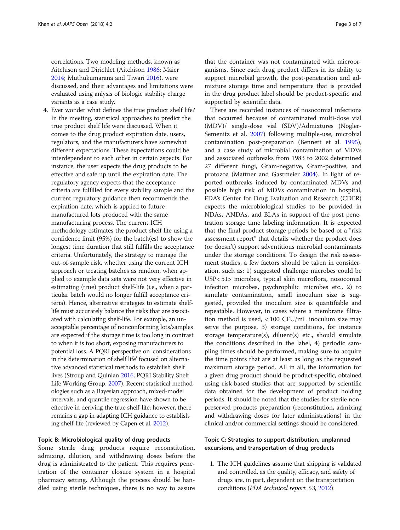correlations. Two modeling methods, known as Aitchison and Dirichlet (Aitchison [1986;](#page-6-0) Maier [2014;](#page-6-0) Muthukumarana and Tiwari [2016](#page-6-0)), were discussed, and their advantages and limitations were evaluated using anlysis of biologic stability charge variants as a case study.

4. Ever wonder what defines the true product shelf life? In the meeting, statistical approaches to predict the true product shelf life were discussed. When it comes to the drug product expiration date, users, regulators, and the manufacturers have somewhat different expectations. These expectations could be interdependent to each other in certain aspects. For instance, the user expects the drug products to be effective and safe up until the expiration date. The regulatory agency expects that the acceptance criteria are fulfilled for every stability sample and the current regulatory guidance then recommends the expiration date, which is applied to future manufactured lots produced with the same manufacturing process. The current ICH methodology estimates the product shelf life using a confidence limit (95%) for the batch(es) to show the longest time duration that still fulfills the acceptance criteria. Unfortunately, the strategy to manage the out-of-sample risk, whether using the current ICH approach or treating batches as random, when applied to example data sets were not very effective in estimating (true) product shelf-life (i.e., when a particular batch would no longer fulfill acceptance criteria). Hence, alternative strategies to estimate shelflife must accurately balance the risks that are associated with calculating shelf-life. For example, an unacceptable percentage of nonconforming lots/samples are expected if the storage time is too long in contrast to when it is too short, exposing manufacturers to potential loss. A PQRI perspective on 'considerations in the determination of shelf life' focused on alternative advanced statistical methods to estabilish shelf lives (Stroup and Quinlan [2016;](#page-6-0) PQRI Stability Shelf Life Working Group, [2007](#page-6-0)). Recent statistical methodologies such as a Bayesian approach, mixed-model intervals, and quantile regression have shown to be effective in deriving the true shelf-life; however, there remains a gap in adapting ICH guidance to establishing shelf-life (reviewed by Capen et al. [2012](#page-6-0)).

### Topic B: Microbiological quality of drug products

Some sterile drug products require reconstitution, admixing, dilution, and withdrawing doses before the drug is administrated to the patient. This requires penetration of the container closure system in a hospital pharmacy setting. Although the process should be handled using sterile techniques, there is no way to assure

that the container was not contaminated with microorganisms. Since each drug product differs in its ability to support microbial growth, the post-penetration and admixture storage time and temperature that is provided in the drug product label should be product-specific and supported by scientific data.

There are recorded instances of nosocomial infections that occurred because of contaminated multi-dose vial (MDV)/ single-dose vial (SDV)/Admixtures (Nogler-Semenitz et al. [2007](#page-6-0)) following multiple-use, microbial contamination post-preparation (Bennett et al. [1995](#page-6-0)), and a case study of microbial contamination of MDVs and associated outbreaks from 1983 to 2002 determined 27 different fungi, Gram-negative, Gram-positive, and protozoa (Mattner and Gastmeier [2004](#page-6-0)). In light of reported outbreaks induced by contaminated MDVs and possible high risk of MDVs contamination in hospital, FDA's Center for Drug Evaluation and Research (CDER) expects the microbiological studies to be provided in NDAs, ANDAs, and BLAs in support of the post penetration storage time labeling information. It is expected that the final product storage periods be based of a "risk assessment report" that details whether the product does (or doesn't) support adventitious microbial contaminants under the storage conditions. To design the risk assessment studies, a few factors should be taken in consideration, such as: 1) suggested challenge microbes could be USP< 51> microbes, typical skin microflora, nosocomial infection microbes, psychrophilic microbes etc., 2) to simulate contamination, small inoculum size is suggested, provided the inoculum size is quantifiable and repeatable. However, in cases where a membrane filtration method is used, < 100 CFU/mL inoculum size may serve the purpose, 3) storage conditions, for instance storage temperature(s), diluent(s) etc., should simulate the conditions described in the label, 4) periodic sampling times should be performed, making sure to acquire the time points that are at least as long as the requested maximum storage period. All in all, the information for a given drug product should be product-specific, obtained using risk-based studies that are supported by scientific data obtained for the development of product holding periods. It should be noted that the studies for sterile nonpreserved products preparation (reconstitution, admixing and withdrawing doses for later administrations) in the clinical and/or commercial settings should be considered.

### Topic C: Strategies to support distribution, unplanned excursions, and transportation of drug products

1. The ICH guidelines assume that shipping is validated and controlled, as the quality, efficacy, and safety of drugs are, in part, dependent on the transportation conditions (PDA technical report. 53, [2012](#page-6-0)).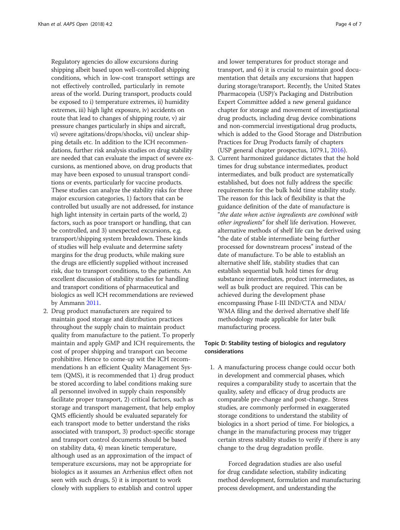Regulatory agencies do allow excursions during shipping albeit based upon well-controlled shipping conditions, which in low-cost transport settings are not effectively controlled, particularly in remote areas of the world. During transport, products could be exposed to i) temperature extremes, ii) humidity extremes, iii) high light exposure, iv) accidents on route that lead to changes of shipping route, v) air pressure changes particularly in ships and aircraft, vi) severe agitations/drops/shocks, vii) unclear shipping details etc. In addition to the ICH recommendations, further risk analysis studies on drug stability are needed that can evaluate the impact of severe excursions, as mentioned above, on drug products that may have been exposed to unusual transport conditions or events, particularly for vaccine products. These studies can analyze the stability risks for three major excursion categories, 1) factors that can be controlled but usually are not addressed, for instance high light intensity in certain parts of the world, 2) factors, such as poor transport or handling, that can be controlled, and 3) unexpected excursions, e.g. transport/shipping system breakdown. These kinds of studies will help evaluate and determine safety margins for the drug products, while making sure the drugs are efficiently supplied without increased risk, due to transport conditions, to the patients. An excellent discussion of stability studies for handling and transport conditions of pharmaceutical and biologics as well ICH recommendations are reviewed by Ammann [2011](#page-6-0).

2. Drug product manufacturers are required to maintain good storage and distribution practices throughout the supply chain to maintain product quality from manufacture to the patient. To properly maintain and apply GMP and ICH requirements, the cost of proper shipping and transport can become prohibitive. Hence to come-up wit the ICH recommendations h an efficient Quality Management System (QMS), it is recommended that 1) drug product be stored according to label conditions making sure all personnel involved in supply chain responsibly facilitate proper transport, 2) critical factors, such as storage and transport management, that help employ QMS efficiently should be evaluated separately for each transport mode to better understand the risks associated with transport, 3) product-specific storage and transport control documents should be based on stability data, 4) mean kinetic temperature, although used as an approximation of the impact of temperature excursions, may not be appropriate for biologics as it assumes an Arrhenius effect often not seen with such drugs, 5) it is important to work closely with suppliers to establish and control upper

and lower temperatures for product storage and transport, and 6) it is crucial to maintain good documentation that details any excursions that happen during storage/transport. Recently, the United States Pharmacopeia (USP)'s Packaging and Distribution Expert Committee added a new general guidance chapter for storage and movement of investigational drug products, including drug device combinations and non-commercial investigational drug products, which is added to the Good Storage and Distribution Practices for Drug Products family of chapters (USP general chapter prospectus, 1079.1, [2016\)](#page-6-0).

3. Current harmonized guidance dictates that the hold times for drug substance intermediates, product intermediates, and bulk product are systematically established, but does not fully address the specific requirements for the bulk hold time stability study. The reason for this lack of flexibility is that the guidance definition of the date of manufacture is "the date when active ingredients are combined with other ingredients" for shelf life derivation. However, alternative methods of shelf life can be derived using "the date of stable intermediate being further processed for downstream process" instead of the date of manufacture. To be able to establish an alternative shelf life, stability studies that can establish sequential bulk hold times for drug substance intermediates, product intermediates, as well as bulk product are required. This can be achieved during the development phase encompassing Phase I-III IND/CTA and NDA/ WMA filing and the derived alternative shelf life methodology made applicable for later bulk manufacturing process.

## Topic D: Stability testing of biologics and regulatory considerations

1. A manufacturing process change could occur both in development and commercial phases, which requires a comparability study to ascertain that the quality, safety and efficacy of drug products are comparable pre-change and post-change.. Stress studies, are commonly performed in exaggerated storage conditions to understand the stability of biologics in a short period of time. For biologics, a change in the manufacturing process may trigger certain stress stability studies to verify if there is any change to the drug degradation profile.

Forced degradation studies are also useful for drug candidate selection, stability indicating method development, formulation and manufacturing process development, and understanding the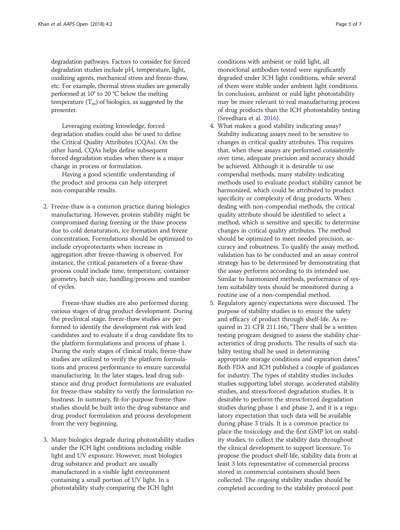degradation pathways. Factors to consider for forced degradation studies include pH, temperature, light, oxidizing agents, mechanical stress and freeze-thaw, etc. For example, thermal stress studies are generally performed at 10° to 20 °C below the melting temperature  $(T_m)$  of biologics, as suggested by the presenter.

Leveraging existing knowledge, forced degradation studies could also be used to define the Critical Quality Attributes (CQAs). On the other hand, CQAs helps define subsequent forced degradation studies when there is a major change in process or formulation.

Having a good scientific understanding of the product and process can help interpret non-comparable results.

2. Freeze-thaw is a common practice during biologics manufacturing. However, protein stability might be compromised during freezing or the thaw process due to cold denaturation, ice formation and freeze concentration. Formulations should be optimized to include cryoprotectants when increase in aggregation after freeze-thawing is observed. For instance, the critical parameters of a freeze-thaw process could include time, temperature, container geometry, batch size, handling/process and number of cycles.

Freeze-thaw studies are also performed during various stages of drug product development. During the preclinical stage, freeze-thaw studies are performed to identify the development risk with lead candidates and to evaluate if a drug candidate fits to the platform formulations and process of phase 1. During the early stages of clinical trials, freeze-thaw studies are utilized to verify the platform formulations and process performance to ensure successful manufacturing. In the later stages, lead drug substance and drug product formulations are evaluated for freeze-thaw stability to verify the formulation robustness. In summary, fit-for-purpose freeze-thaw studies should be built into the drug substance and drug product formulation and process development from the very beginning.

3. Many biologics degrade during photostability studies under the ICH light conditions including visible light and UV exposure. However, most biologics drug substance and product are usually manufactured in a visible light environment containing a small portion of UV light. In a photostability study comparing the ICH light

conditions with ambient or mild light, all monoclonal antibodies tested were significantly degraded under ICH light conditions, while several of them were stable under ambient light conditions. In conclusion, ambient or mild light photostability may be more relevant to real manufacturing process of drug products than the ICH photostability testing (Sreedhara et al. [2016\)](#page-6-0).

- 4. What makes a good stability indicating assay? Stability indicating assays need to be sensitive to changes in critical quality attributes. This requires that, when these assays are performed consistently over time, adequate precision and accuracy should be achieved. Although it is desirable to use compendial methods, many stability-indicating methods used to evaluate product stability cannot be harmonized, which could be attributed to product specificity or complexity of drug products. When dealing with non-compendial methods, the critical quality attribute should be identified to select a method, which is sensitive and specific to determine changes in critical quality attributes. The method should be optimized to meet needed precision, accuracy and robustness. To qualify the assay method, validation has to be conducted and an assay control strategy has to be determined by demonstrating that the assay performs according to its intended use. Similar to harmonized methods, performance of system suitability tests should be monitored during a routine use of a non-compendial method.
- 5. Regulatory agency expectations were discussed. The purpose of stability studies is to ensure the safety and efficacy of product through shelf-life. As required in 21 CFR 211.166,"There shall be a written testing program designed to assess the stability characteristics of drug products. The results of such stability testing shall be used in determining appropriate storage conditions and expiration dates." Both FDA and ICH published a couple of guidances for industry. The types of stability studies includes studies supporting label storage, accelerated stability studies, and stress/forced degradation studies. It is desirable to perform the stress/forced degradation studies during phase 1 and phase 2, and it is a regulatory expectation that such data will be available during phase 3 trials. It is a common practice to place the toxicology and the first GMP lot on stability studies, to collect the stability data throughout the clinical development to support licensure. To propose the product shelf-life, stability data from at least 3 lots representative of commercial process stored in commercial containers should been collected. The ongoing stability studies should be completed according to the stability protocol post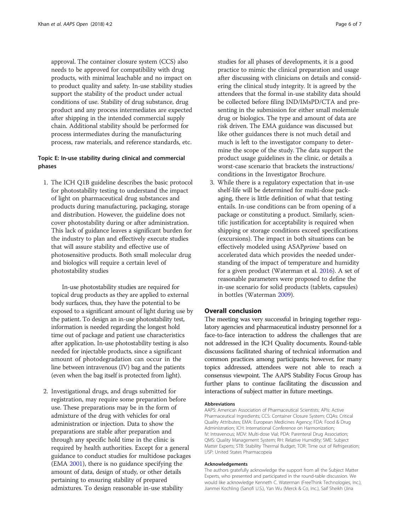approval. The container closure system (CCS) also needs to be approved for compatibility with drug products, with minimal leachable and no impact on to product quality and safety. In-use stability studies support the stability of the product under actual conditions of use. Stability of drug substance, drug product and any process intermediates are expected after shipping in the intended commercial supply chain. Additional stability should be performed for process intermediates during the manufacturing process, raw materials, and reference standards, etc.

## Topic E: In-use stability during clinical and commercial phases

1. The ICH Q1B guideline describes the basic protocol for photostability testing to understand the impact of light on pharmaceutical drug substances and products during manufacturing, packaging, storage and distribution. However, the guideline does not cover photostability during or after administration. This lack of guidance leaves a significant burden for the industry to plan and effectively execute studies that will assure stability and effective use of photosensitive products. Both small molecular drug and biologics will require a certain level of photostability studies

In-use photostability studies are required for topical drug products as they are applied to external body surfaces, thus, they have the potential to be exposed to a significant amount of light during use by the patient. To design an in-use photostability test, information is needed regarding the longest hold time out of package and patient use characteristics after application. In-use photostability testing is also needed for injectable products, since a significant amount of photodegradation can occur in the line between intravenous (IV) bag and the patients (even when the bag itself is protected from light).

2. Investigational drugs, and drugs submitted for registration, may require some preparation before use. These preparations may be in the form of admixture of the drug with vehicles for oral administration or injection. Data to show the preparations are stable after preparation and through any specific hold time in the clinic is required by health authorities. Except for a general guidance to conduct studies for multidose packages (EMA [2001](#page-6-0)), there is no guidance specifying the amount of data, design of study, or other details pertaining to ensuring stability of prepared admixtures. To design reasonable in-use stability

studies for all phases of developments, it is a good practice to mimic the clinical preparation and usage after discussing with clinicians on details and considering the clinical study integrity. It is agreed by the attendees that the formal in-use stability data should be collected before filing IND/IMsPD/CTA and presenting in the submission for either small molemule drug or biologics. The type and amount of data are risk driven. The EMA guidance was discussed but like other guidances there is not much detail and much is left to the investigator company to determine the scope of the study. The data support the product usage guidelines in the clinic, or details a worst-case scenario that brackets the instructions/ conditions in the Investigator Brochure.

3. While there is a regulatory expectation that in-use shelf-life will be determined for multi-dose packaging, there is little definition of what that testing entails. In-use conditions can be from opening of a package or constituting a product. Similarly, scientific justification for acceptability is required when shipping or storage conditions exceed specifications (excursions). The impact in both situations can be effectively modeled using ASAPprime<sup>®</sup> based on accelerated data which provides the needed understanding of the impact of temperature and humidity for a given product (Waterman et al. [2016](#page-6-0)). A set of reasonable parameters were proposed to define the in-use scenario for solid products (tablets, capsules) in bottles (Waterman [2009](#page-6-0)).

## Overall conclusion

The meeting was very successful in bringing together regulatory agencies and pharmaceutical industry personnel for a face-to-face interaction to address the challenges that are not addressed in the ICH Quality documents. Round-table discussions facilitated sharing of technical information and common practices among participants; however, for many topics addressed, attendees were not able to reach a consensus viewpoint. The AAPS Stability Focus Group has further plans to continue facilitating the discussion and interactions of subject matter in future meetings.

### Abbreviations

AAPS: American Association of Pharmaceutical Scientists; APIs: Active Pharmaceutical Ingredients; CCS: Container Closure System; CQAs: Critical Quality Attributes; EMA: European Medicines Agency; FDA: Food & Drug Administration; ICH: International Conference on Harmonization; IV: Intravenous; MDV: Multi-dose Vial; PDA: Parenteral Drug Association; QMS: Quality Management System; RH: Relative Humidity; SME: Subject Matter Experts; STB: Stability Thermal Budget; TOR: Time out of Refrigeration; USP: United States Pharmacopeia

#### Acknowledgements

The authors gratefully acknowledge the support from all the Subject Matter Experts, who presented and participated in the round-table discussion. We would like acknowledge Kenneth C. Waterman (FreeThink Technologies, Inc.), Jianmei Kochling (Sanofi U.S.), Yan Wu (Merck & Co, Inc.), Saif Sheikh (Jina